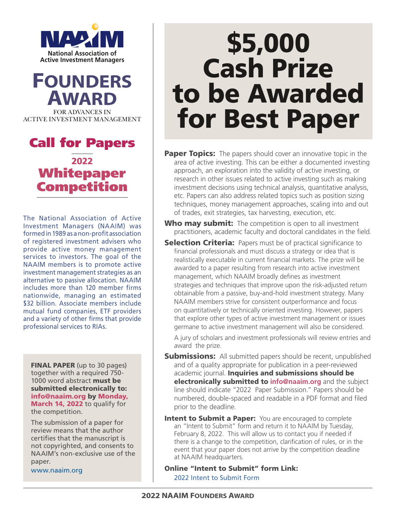



### Call for Papers 2022 Whitepaper **Competition**

The National Association of Active Investment Managers (NAAIM) was formed in 1989 as a non-profit association of registered investment advisers who provide active money management services to investors. The goal of the NAAIM members is to promote active investment management strategies as an alternative to passive allocation. NAAIM includes more than 120 member firms nationwide, managing an estimated \$32 billion. Associate members include mutual fund companies, ETF providers and a variety of other firms that provide professional services to RIAs.

FINAL PAPER (up to 30 pages) together with a required 750- 1000 word abstract must be submitted electronically to: info@naaim.org by Monday, March 14, 2022 to qualify for the competition.

The submission of a paper for review means that the author certifies that the manuscript is not copyrighted, and consents to NAAIM's non-exclusive use of the paper.

www.naaim.org

# \$5,000 Cash Prize to be Awarded for Best Paper

- **Paper Topics:** The papers should cover an innovative topic in the area of active investing. This can be either a documented investing approach, an exploration into the validity of active investing, or research in other issues related to active investing such as making investment decisions using technical analysis, quantitative analysis, etc. Papers can also address related topics such as position sizing techniques, money management approaches, scaling into and out of trades, exit strategies, tax harvesting, execution, etc.
- Who may submit: The competition is open to all investment practitioners, academic faculty and doctoral candidates in the field.
- **Selection Criteria:** Papers must be of practical significance to financial professionals and must discuss a strategy or idea that is realistically executable in current financial markets. The prize will be awarded to a paper resulting from research into active investment management, which NAAIM broadly defines as investment strategies and techniques that improve upon the risk-adjusted return obtainable from a passive, buy-and-hold investment strategy. Many NAAIM members strive for consistent outperformance and focus on quantitatively or technically oriented investing. However, papers that explore other types of active investment management or issues germane to active investment management will also be considered.

A jury of scholars and investment professionals will review entries and award the prize.

- **Submissions:** All submitted papers should be recent, unpublished and of a quality appropriate for publication in a peer-reviewed academic journal. Inquiries and submissions should be electronically submitted to **info@naaim.org** and the subject line should indicate "2022 Paper Submission." Papers should be numbered, double-spaced and readable in a PDF format and filed prior to the deadline.
- **Intent to Submit a Paper:** You are encouraged to complete an "Intent to Submit" form and return it to NAAIM by Tuesday, February 8, 2022. This will allow us to contact you if needed if there is a change to the competition, clarification of rules, or in the event that your paper does not arrive by the competition deadline at NAAIM headquarters.
- Online "Intent to Submit" form Link: 2022 Intent to Submit Form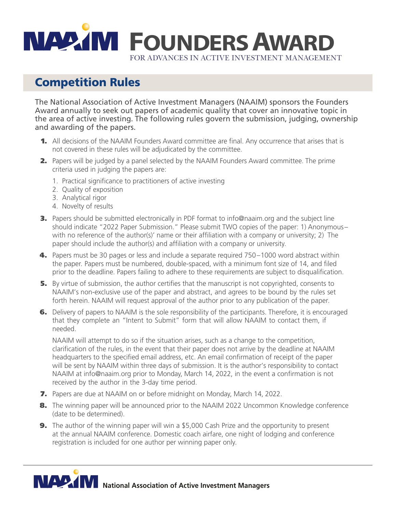

#### Competition Rules

The National Association of Active Investment Managers (NAAIM) sponsors the Founders Award annually to seek out papers of academic quality that cover an innovative topic in the area of active investing. The following rules govern the submission, judging, ownership and awarding of the papers.

- **1.** All decisions of the NAAIM Founders Award committee are final. Any occurrence that arises that is not covered in these rules will be adjudicated by the committee.
- 2. Papers will be judged by a panel selected by the NAAIM Founders Award committee. The prime criteria used in judging the papers are:
	- 1. Practical significance to practitioners of active investing
	- 2. Quality of exposition
	- 3. Analytical rigor
	- 4. Novelty of results
- **3.** Papers should be submitted electronically in PDF format to info@naaim.org and the subject line should indicate "2022 Paper Submission." Please submit TWO copies of the paper: 1) Anonymous– with no reference of the author(s)' name or their affiliation with a company or university; 2) The paper should include the author(s) and affiliation with a company or university.
- 4. Papers must be 30 pages or less and include a separate required 750–1000 word abstract within the paper. Papers must be numbered, double-spaced, with a minimum font size of 14, and filed prior to the deadline. Papers failing to adhere to these requirements are subject to disqualification.
- **5.** By virtue of submission, the author certifies that the manuscript is not copyrighted, consents to NAAIM's non-exclusive use of the paper and abstract, and agrees to be bound by the rules set forth herein. NAAIM will request approval of the author prior to any publication of the paper.
- 6. Delivery of papers to NAAIM is the sole responsibility of the participants. Therefore, it is encouraged that they complete an "Intent to Submit" form that will allow NAAIM to contact them, if needed.

 NAAIM will attempt to do so if the situation arises, such as a change to the competition, clarification of the rules, in the event that their paper does not arrive by the deadline at NAAIM headquarters to the specified email address, etc. An email confirmation of receipt of the paper will be sent by NAAIM within three days of submission. It is the author's responsibility to contact NAAIM at info@naaim.org prior to Monday, March 14, 2022, in the event a confirmation is not received by the author in the 3-day time period.

- 7. Papers are due at NAAIM on or before midnight on Monday, March 14, 2022.
- 8. The winning paper will be announced prior to the NAAIM 2022 Uncommon Knowledge conference (date to be determined).
- **9.** The author of the winning paper will win a \$5,000 Cash Prize and the opportunity to present at the annual NAAIM conference. Domestic coach airfare, one night of lodging and conference registration is included for one author per winning paper only.



**NAMA National Association of Active Investment Managers**